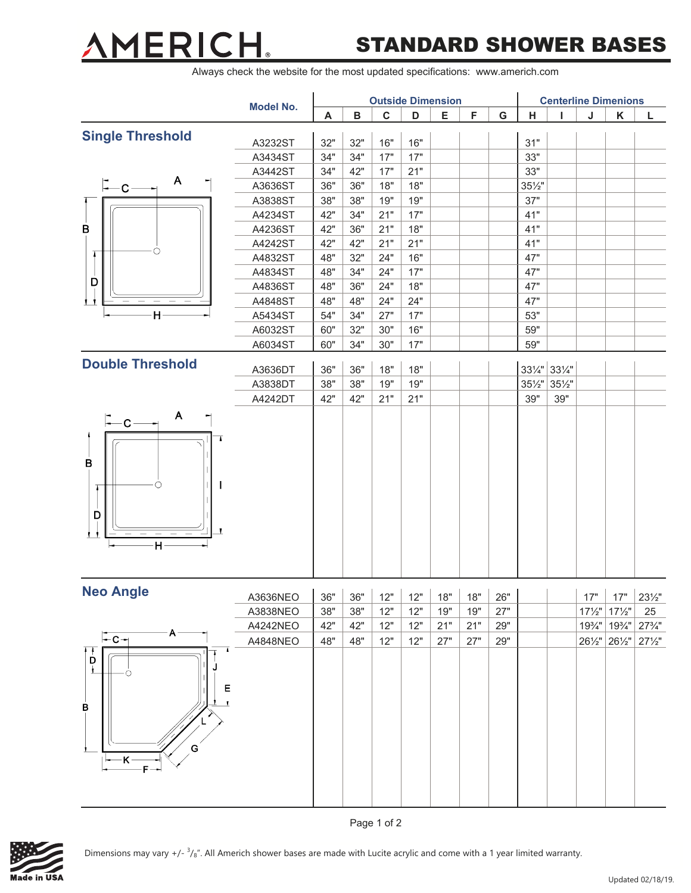### **AMERICI**  $^{\circ}$

## STANDARD SHOWER BASES

Always check the website for the most updated specifications: www.americh.com

|                                                    | <b>Model No.</b> | <b>Outside Dimension</b>      |     |             |       |     |     |     |                   | <b>Centerline Dimenions</b> |                   |                   |                      |  |  |
|----------------------------------------------------|------------------|-------------------------------|-----|-------------|-------|-----|-----|-----|-------------------|-----------------------------|-------------------|-------------------|----------------------|--|--|
|                                                    |                  | A                             | B   | $\mathbf c$ | D     | E   | F   | G   | H                 |                             | J                 | Κ                 | L                    |  |  |
| <b>Single Threshold</b>                            | A3232ST          | 32"                           | 32" | 16"         | 16"   |     |     |     | 31"               |                             |                   |                   |                      |  |  |
|                                                    | A3434ST          | 34"                           | 34" | 17"         | 17"   |     |     |     | 33"               |                             |                   |                   |                      |  |  |
|                                                    | A3442ST          | 34"                           | 42" | 17"         | 21"   |     |     |     | 33"               |                             |                   |                   |                      |  |  |
| A<br>$-C -$                                        | A3636ST          | 36"                           | 36" | 18"         | 18"   |     |     |     | $35\frac{1}{2}$ " |                             |                   |                   |                      |  |  |
|                                                    | A3838ST          | 38"                           | 38" | 19"         | 19"   |     |     |     | 37"               |                             |                   |                   |                      |  |  |
|                                                    | A4234ST          | 42"                           | 34" | 21"         | 17"   |     |     |     | 41"               |                             |                   |                   |                      |  |  |
| $\sf B$                                            | A4236ST          | 42"                           | 36" | 21"         | $18"$ |     |     |     | 41"               |                             |                   |                   |                      |  |  |
|                                                    | A4242ST          | 42"                           | 42" | 21"         | 21"   |     |     |     | 41"               |                             |                   |                   |                      |  |  |
| т                                                  | A4832ST          | 48"                           | 32" | 24"         | 16"   |     |     |     | 47"               |                             |                   |                   |                      |  |  |
|                                                    | A4834ST          | 48"                           | 34" | 24"         | 17"   |     |     |     | 47"               |                             |                   |                   |                      |  |  |
| D                                                  | A4836ST          | 48"                           | 36" | 24"         | 18"   |     |     |     | 47"               |                             |                   |                   |                      |  |  |
|                                                    | A4848ST          | 48"                           | 48" | 24"         | 24"   |     |     |     | 47"               |                             |                   |                   |                      |  |  |
| H                                                  | A5434ST          | 54"                           | 34" | 27"         | 17"   |     |     |     | 53"               |                             |                   |                   |                      |  |  |
|                                                    | A6032ST          | 60"                           | 32" | 30"         | 16"   |     |     |     | 59"               |                             |                   |                   |                      |  |  |
|                                                    | A6034ST          | 60"                           | 34" | 30"         | $17"$ |     |     |     | 59"               |                             |                   |                   |                      |  |  |
| <b>Double Threshold</b>                            | A3636DT          | 36"                           | 36" | 18"         | 18"   |     |     |     |                   | 331/4" 331/4"               |                   |                   |                      |  |  |
|                                                    | A3838DT          | 38"                           | 38" | 19"         | 19"   |     |     |     | $35\frac{1}{2}$ " | $35\frac{1}{2}$ "           |                   |                   |                      |  |  |
|                                                    | A4242DT          | 42"                           | 42" | 21"         | 21"   |     |     |     | 39"               | 39"                         |                   |                   |                      |  |  |
| A<br>$-c-$<br>B<br>D<br>┸<br>H                     |                  |                               |     |             |       |     |     |     |                   |                             |                   |                   |                      |  |  |
| <b>Neo Angle</b>                                   | A3636NEO         | $36"$ 36" 12" 12" 18" 18" 26" |     |             |       |     |     |     |                   |                             |                   | $17"$ 17"         | $23\frac{1}{2}$ "    |  |  |
|                                                    | A3838NEO         | 38"                           | 38" | 12"         | 12"   | 19" | 19" | 27" |                   |                             | $17\frac{1}{2}$ " | $17\frac{1}{2}$ " | 25                   |  |  |
|                                                    | A4242NEO         | 42"                           | 42" | 12"         | 12"   | 21" | 21" | 29" |                   |                             |                   |                   | 193/4" 193/4" 273/4" |  |  |
| $A -$<br>⊢c–                                       | A4848NEO         | 48"                           | 48" | 12"         | 12"   | 27" | 27" | 29" |                   |                             |                   | 261/2" 261/2"     | $27\frac{1}{2}$ "    |  |  |
| $\overline{\mathbf{b}}$<br>Ţ<br>Е<br>в<br>G<br>-K· |                  |                               |     |             |       |     |     |     |                   |                             |                   |                   |                      |  |  |